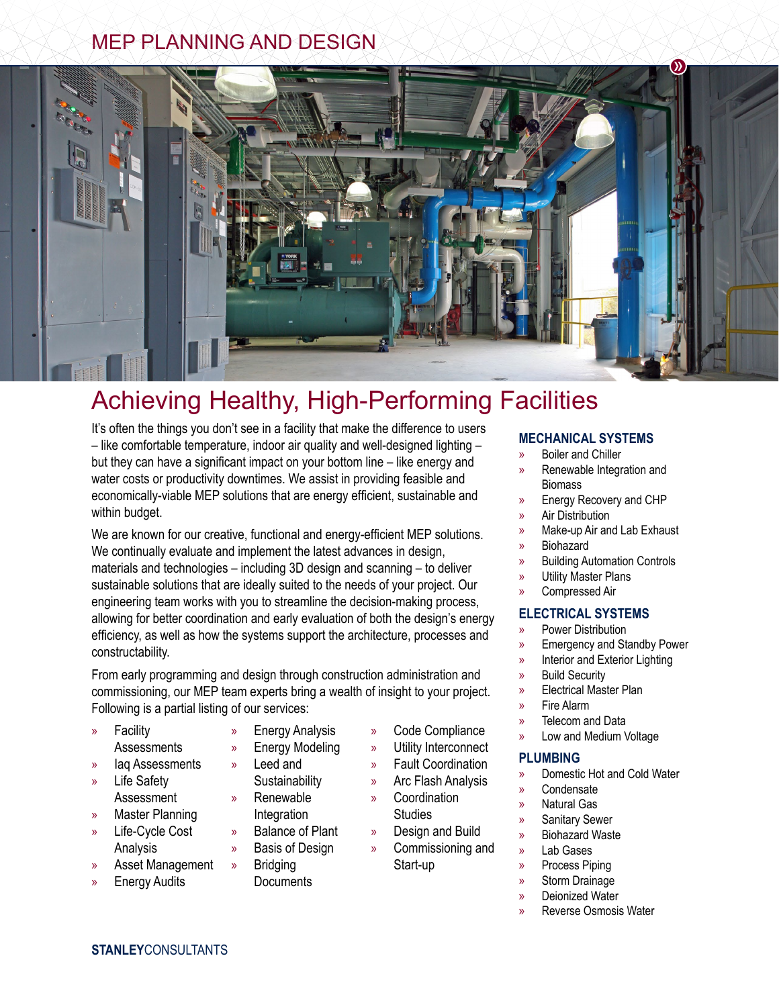## MEP PLANNING AND DESIGN



# Achieving Healthy, High-Performing Facilities

It's often the things you don't see in a facility that make the difference to users – like comfortable temperature, indoor air quality and well-designed lighting – but they can have a significant impact on your bottom line – like energy and water costs or productivity downtimes. We assist in providing feasible and economically-viable MEP solutions that are energy efficient, sustainable and within budget.

We are known for our creative, functional and energy-efficient MEP solutions. We continually evaluate and implement the latest advances in design, materials and technologies – including 3D design and scanning – to deliver sustainable solutions that are ideally suited to the needs of your project. Our engineering team works with you to streamline the decision-making process, allowing for better coordination and early evaluation of both the design's energy efficiency, as well as how the systems support the architecture, processes and constructability.

From early programming and design through construction administration and commissioning, our MEP team experts bring a wealth of insight to your project. Following is a partial listing of our services:

- » Facility **Assessments**
- 
- lag Assessments
- » Life Safety Assessment » Master Planning
- » Life-Cycle Cost Analysis
- » Asset Management
- **Energy Audits**
- » Energy Analysis
- » Energy Modeling
- » Leed and Sustainability
- » Renewable
- 
- Basis of Design
- » Bridging
	- **Documents**
- » Code Compliance
- » Utility Interconnect
- » Fault Coordination
- » Arc Flash Analysis
- » Coordination **Studies**
- » Design and Build
- » Commissioning and Start-up
	- - Deionized Water
		- » Reverse Osmosis Water
- **MECHANICAL SYSTEMS**
- » Boiler and Chiller
- » Renewable Integration and **Biomass**
- » Energy Recovery and CHP
- » Air Distribution
- » Make-up Air and Lab Exhaust
- » Biohazard
- » Building Automation Controls
- » Utility Master Plans
- » Compressed Air

#### **ELECTRICAL SYSTEMS**

- » Power Distribution
- » Emergency and Standby Power
- » Interior and Exterior Lighting
- » Build Security
- » Electrical Master Plan
- » Fire Alarm
- Telecom and Data
- » Low and Medium Voltage

#### **PLUMBING**

- » Domestic Hot and Cold Water
- » Condensate
- » Natural Gas
- » Sanitary Sewer
- » Biohazard Waste
- » Lab Gases
- » Process Piping
- » Storm Drainage
	-
- 
- Integration
	-
- » Balance of Plant
	-